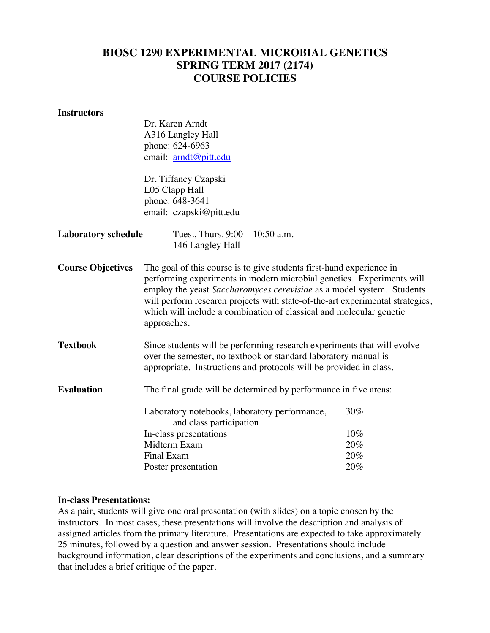# **BIOSC 1290 EXPERIMENTAL MICROBIAL GENETICS SPRING TERM 2017 (2174) COURSE POLICIES**

#### **Instructors**

|                            | Dr. Karen Arndt                                                                                                                                                                                                                                                                                                                                                                               |     |
|----------------------------|-----------------------------------------------------------------------------------------------------------------------------------------------------------------------------------------------------------------------------------------------------------------------------------------------------------------------------------------------------------------------------------------------|-----|
|                            | A316 Langley Hall                                                                                                                                                                                                                                                                                                                                                                             |     |
|                            | phone: 624-6963                                                                                                                                                                                                                                                                                                                                                                               |     |
|                            | email: arndt@pitt.edu                                                                                                                                                                                                                                                                                                                                                                         |     |
|                            | Dr. Tiffaney Czapski                                                                                                                                                                                                                                                                                                                                                                          |     |
|                            | L05 Clapp Hall                                                                                                                                                                                                                                                                                                                                                                                |     |
|                            | phone: 648-3641                                                                                                                                                                                                                                                                                                                                                                               |     |
|                            | email: czapski@pitt.edu                                                                                                                                                                                                                                                                                                                                                                       |     |
| <b>Laboratory schedule</b> | Tues., Thurs. $9:00 - 10:50$ a.m.                                                                                                                                                                                                                                                                                                                                                             |     |
|                            | 146 Langley Hall                                                                                                                                                                                                                                                                                                                                                                              |     |
| <b>Course Objectives</b>   | The goal of this course is to give students first-hand experience in<br>performing experiments in modern microbial genetics. Experiments will<br>employ the yeast Saccharomyces cerevisiae as a model system. Students<br>will perform research projects with state-of-the-art experimental strategies,<br>which will include a combination of classical and molecular genetic<br>approaches. |     |
| <b>Textbook</b>            | Since students will be performing research experiments that will evolve<br>over the semester, no textbook or standard laboratory manual is<br>appropriate. Instructions and protocols will be provided in class.                                                                                                                                                                              |     |
| <b>Evaluation</b>          | The final grade will be determined by performance in five areas:                                                                                                                                                                                                                                                                                                                              |     |
|                            | Laboratory notebooks, laboratory performance,<br>and class participation                                                                                                                                                                                                                                                                                                                      | 30% |
|                            | In-class presentations                                                                                                                                                                                                                                                                                                                                                                        | 10% |
|                            | Midterm Exam                                                                                                                                                                                                                                                                                                                                                                                  | 20% |
|                            | <b>Final Exam</b>                                                                                                                                                                                                                                                                                                                                                                             | 20% |
|                            | Poster presentation                                                                                                                                                                                                                                                                                                                                                                           | 20% |

#### **In-class Presentations:**

As a pair, students will give one oral presentation (with slides) on a topic chosen by the instructors. In most cases, these presentations will involve the description and analysis of assigned articles from the primary literature. Presentations are expected to take approximately 25 minutes, followed by a question and answer session. Presentations should include background information, clear descriptions of the experiments and conclusions, and a summary that includes a brief critique of the paper.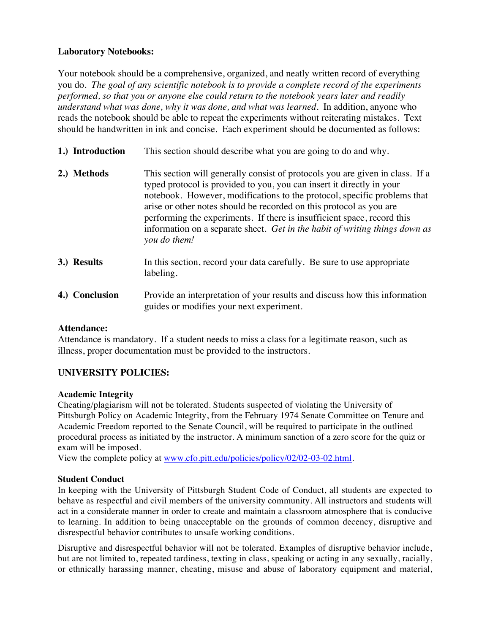## **Laboratory Notebooks:**

Your notebook should be a comprehensive, organized, and neatly written record of everything you do. *The goal of any scientific notebook is to provide a complete record of the experiments performed, so that you or anyone else could return to the notebook years later and readily understand what was done, why it was done, and what was learned.* In addition, anyone who reads the notebook should be able to repeat the experiments without reiterating mistakes. Text should be handwritten in ink and concise. Each experiment should be documented as follows:

- **1.) Introduction** This section should describe what you are going to do and why.
- **2.) Methods** This section will generally consist of protocols you are given in class. If a typed protocol is provided to you, you can insert it directly in your notebook. However, modifications to the protocol, specific problems that arise or other notes should be recorded on this protocol as you are performing the experiments. If there is insufficient space, record this information on a separate sheet. *Get in the habit of writing things down as you do them!*
- **3.) Results** In this section, record your data carefully. Be sure to use appropriate labeling.
- **4.) Conclusion** Provide an interpretation of your results and discuss how this information guides or modifies your next experiment.

### **Attendance:**

Attendance is mandatory. If a student needs to miss a class for a legitimate reason, such as illness, proper documentation must be provided to the instructors.

# **UNIVERSITY POLICIES:**

### **Academic Integrity**

Cheating/plagiarism will not be tolerated. Students suspected of violating the University of Pittsburgh Policy on Academic Integrity, from the February 1974 Senate Committee on Tenure and Academic Freedom reported to the Senate Council, will be required to participate in the outlined procedural process as initiated by the instructor. A minimum sanction of a zero score for the quiz or exam will be imposed.

View the complete policy at www.cfo.pitt.edu/policies/policy/02/02-03-02.html.

### **Student Conduct**

In keeping with the University of Pittsburgh Student Code of Conduct, all students are expected to behave as respectful and civil members of the university community. All instructors and students will act in a considerate manner in order to create and maintain a classroom atmosphere that is conducive to learning. In addition to being unacceptable on the grounds of common decency, disruptive and disrespectful behavior contributes to unsafe working conditions.

Disruptive and disrespectful behavior will not be tolerated. Examples of disruptive behavior include, but are not limited to, repeated tardiness, texting in class, speaking or acting in any sexually, racially, or ethnically harassing manner, cheating, misuse and abuse of laboratory equipment and material,